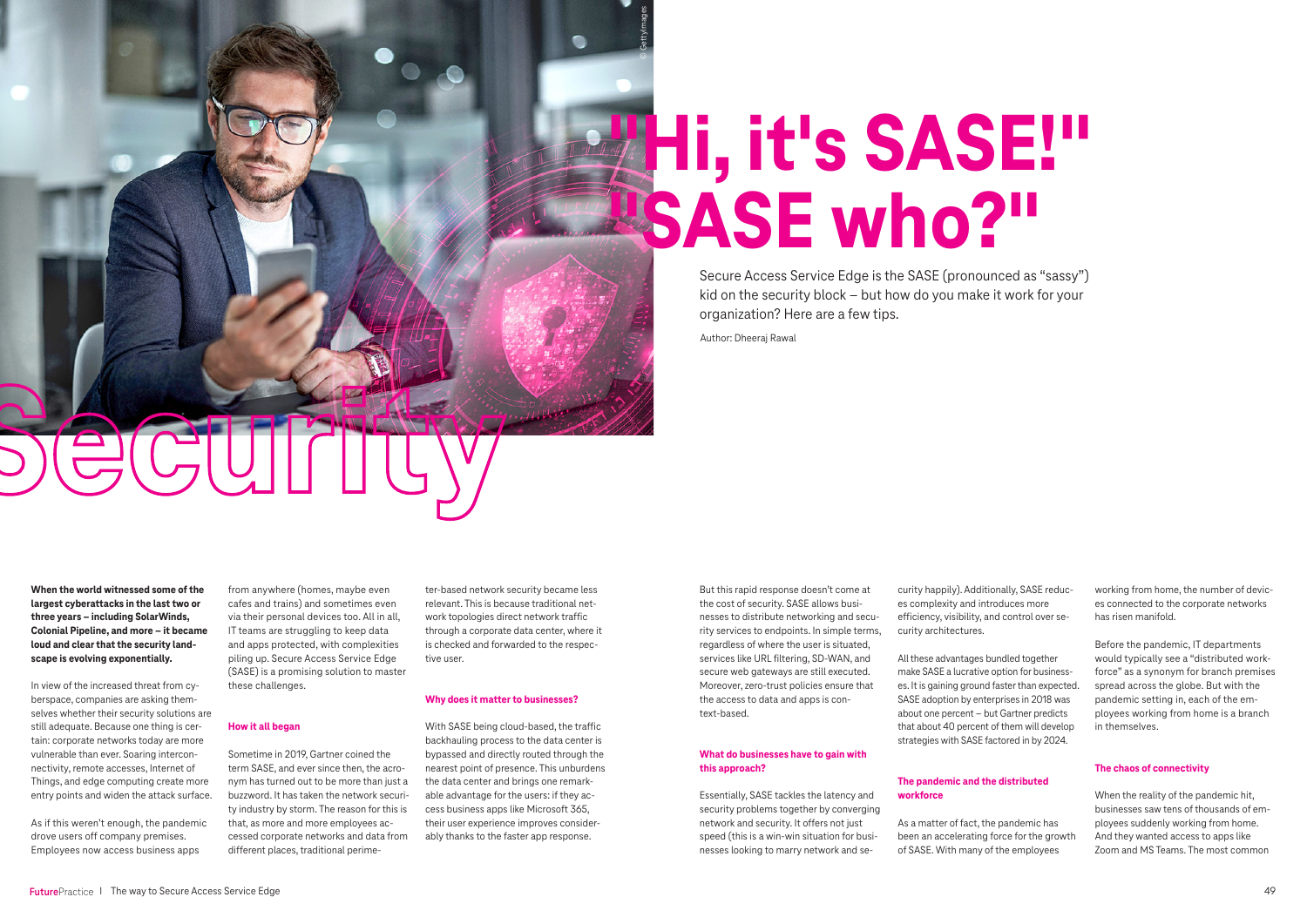**When the world witnessed some of the largest cyberattacks in the last two or three years – including SolarWinds, Colonial Pipeline, and more – it became loud and clear that the security landscape is evolving exponentially.**

In view of the increased threat from cyberspace, companies are asking themselves whether their security solutions are still adequate. Because one thing is certain: corporate networks today are more vulnerable than ever. Soaring interconnectivity, remote accesses, Internet of Things, and edge computing create more entry points and widen the attack surface.

As if this weren't enough, the pandemic drove users off company premises. Employees now access business apps



from anywhere (homes, maybe even cafes and trains) and sometimes even via their personal devices too. All in all, IT teams are struggling to keep data and apps protected, with complexities piling up. Secure Access Service Edge (SASE) is a promising solution to master these challenges.

# **How it all began**

Sometime in 2019, Gartner coined the term SASE, and ever since then, the acronym has turned out to be more than just a buzzword. It has taken the network security industry by storm. The reason for this is that, as more and more employees accessed corporate networks and data from different places, traditional perime-

ter-based network security became less relevant. This is because traditional network topologies direct network traffic through a corporate data center, where it is checked and forwarded to the respective user.

## **Why does it matter to businesses?**

With SASE being cloud-based, the traffic backhauling process to the data center is bypassed and directly routed through the nearest point of presence. This unburdens the data center and brings one remarkable advantage for the users: if they access business apps like Microsoft 365, their user experience improves considerably thanks to the faster app response.

But this rapid response doesn't come at the cost of security. SASE allows businesses to distribute networking and security services to endpoints. In simple terms, regardless of where the user is situated, services like URL filtering, SD-WAN, and secure web gateways are still executed. Moreover, zero-trust policies ensure that the access to data and apps is context-based.

# **What do businesses have to gain with this approach?**

Essentially, SASE tackles the latency and security problems together by converging network and security. It offers not just speed (this is a win-win situation for businesses looking to marry network and se-

curity happily). Additionally, SASE reduces complexity and introduces more efficiency, visibility, and control over security architectures.

All these advantages bundled together make SASE a lucrative option for businesses. It is gaining ground faster than expected. SASE adoption by enterprises in 2018 was about one percent – but Gartner predicts that about 40 percent of them will develop strategies with SASE factored in by 2024.

# **"Hi, it's SASE!" "SASE who?"** © Getty Images © GettyImages

# **The pandemic and the distributed workforce**

As a matter of fact, the pandemic has been an accelerating force for the growth of SASE. With many of the employees

working from home, the number of devices connected to the corporate networks has risen manifold.

Before the pandemic, IT departments would typically see a "distributed workforce" as a synonym for branch premises spread across the globe. But with the pandemic setting in, each of the employees working from home is a branch in themselves.

# **The chaos of connectivity**

When the reality of the pandemic hit, businesses saw tens of thousands of employees suddenly working from home. And they wanted access to apps like Zoom and MS Teams. The most common

Secure Access Service Edge is the SASE (pronounced as "sassy") kid on the security block – but how do you make it work for your organization? Here are a few tips.

Author: Dheeraj Rawal